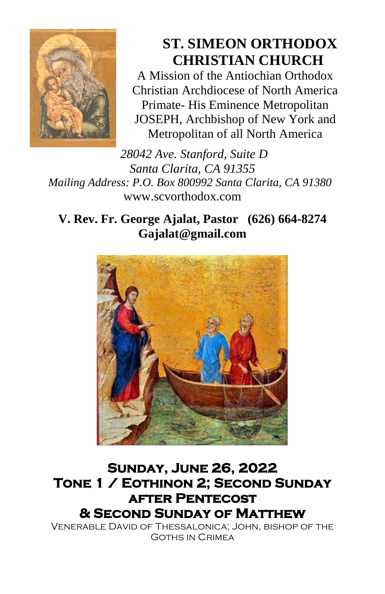

# **ST. SIMEON ORTHODOX CHRISTIAN CHURCH**

A Mission of the Antiochian Orthodox Christian Archdiocese of North America Primate- His Eminence Metropolitan JOSEPH, Archbishop of New York and Metropolitan of all North America

*28042 Ave. Stanford, Suite D Santa Clarita, CA 91355 Mailing Address: P.O. Box 800992 Santa Clarita, CA 91380* [www.scvorthodox.com](http://www.scvorthodox.com/)

**V. Rev. Fr. George Ajalat, Pastor (626) 664-8274 [Gajalat@gmail.com](mailto:Gajalat@gmail.com)**



# **Sunday, June 26, 2022 Tone 1 / Eothinon 2; Second Sunday after Pentecost & Second Sunday of Matthew**

Venerable David of Thessalonica; John, bishop of the Goths in Crimea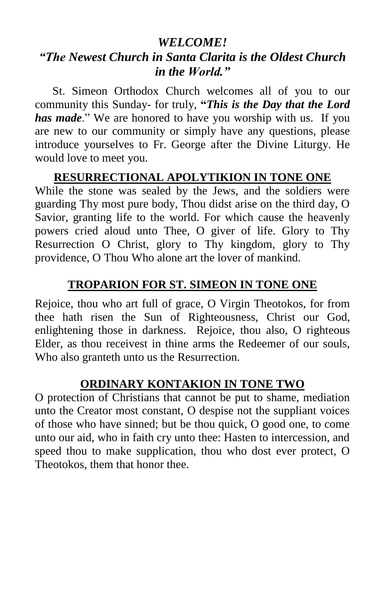## *WELCOME!*

# *"The Newest Church in Santa Clarita is the Oldest Church in the World."*

St. Simeon Orthodox Church welcomes all of you to our community this Sunday- for truly, **"***This is the Day that the Lord has made*." We are honored to have you worship with us. If you are new to our community or simply have any questions, please introduce yourselves to Fr. George after the Divine Liturgy. He would love to meet you.

## **RESURRECTIONAL APOLYTIKION IN TONE ONE**

While the stone was sealed by the Jews, and the soldiers were guarding Thy most pure body, Thou didst arise on the third day, O Savior, granting life to the world. For which cause the heavenly powers cried aloud unto Thee, O giver of life. Glory to Thy Resurrection O Christ, glory to Thy kingdom, glory to Thy providence, O Thou Who alone art the lover of mankind.

# **TROPARION FOR ST. SIMEON IN TONE ONE**

Rejoice, thou who art full of grace, O Virgin Theotokos, for from thee hath risen the Sun of Righteousness, Christ our God, enlightening those in darkness. Rejoice, thou also, O righteous Elder, as thou receivest in thine arms the Redeemer of our souls, Who also granteth unto us the Resurrection.

#### **ORDINARY KONTAKION IN TONE TWO**

O protection of Christians that cannot be put to shame, mediation unto the Creator most constant, O despise not the suppliant voices of those who have sinned; but be thou quick, O good one, to come unto our aid, who in faith cry unto thee: Hasten to intercession, and speed thou to make supplication, thou who dost ever protect, O Theotokos, them that honor thee.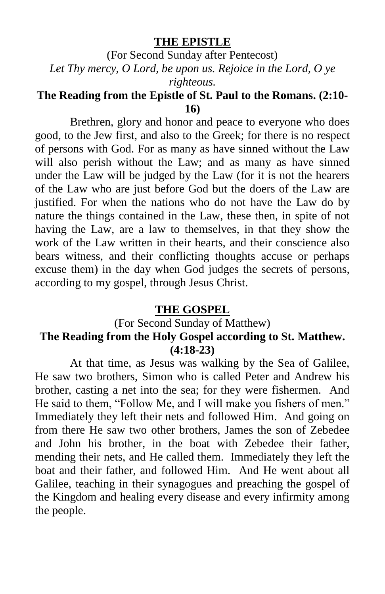#### **THE EPISTLE**

(For Second Sunday after Pentecost) *Let Thy mercy, O Lord, be upon us. Rejoice in the Lord, O ye righteous.*

## **The Reading from the Epistle of St. Paul to the Romans. (2:10- 16)**

Brethren, glory and honor and peace to everyone who does good, to the Jew first, and also to the Greek; for there is no respect of persons with God. For as many as have sinned without the Law will also perish without the Law; and as many as have sinned under the Law will be judged by the Law (for it is not the hearers of the Law who are just before God but the doers of the Law are justified. For when the nations who do not have the Law do by nature the things contained in the Law, these then, in spite of not having the Law, are a law to themselves, in that they show the work of the Law written in their hearts, and their conscience also bears witness, and their conflicting thoughts accuse or perhaps excuse them) in the day when God judges the secrets of persons, according to my gospel, through Jesus Christ.

#### **THE GOSPEL**

#### (For Second Sunday of Matthew) **The Reading from the Holy Gospel according to St. Matthew. (4:18-23)**

At that time, as Jesus was walking by the Sea of Galilee, He saw two brothers, Simon who is called Peter and Andrew his brother, casting a net into the sea; for they were fishermen. And He said to them, "Follow Me, and I will make you fishers of men." Immediately they left their nets and followed Him. And going on from there He saw two other brothers, James the son of Zebedee and John his brother, in the boat with Zebedee their father, mending their nets, and He called them. Immediately they left the boat and their father, and followed Him. And He went about all Galilee, teaching in their synagogues and preaching the gospel of the Kingdom and healing every disease and every infirmity among the people.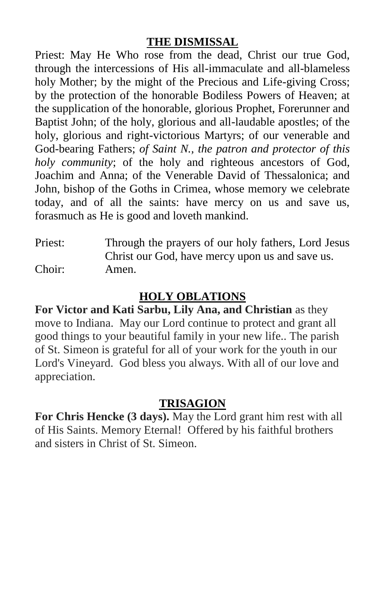## **THE DISMISSAL**

Priest: May He Who rose from the dead, Christ our true God, through the intercessions of His all-immaculate and all-blameless holy Mother; by the might of the Precious and Life-giving Cross; by the protection of the honorable Bodiless Powers of Heaven; at the supplication of the honorable, glorious Prophet, Forerunner and Baptist John; of the holy, glorious and all-laudable apostles; of the holy, glorious and right-victorious Martyrs; of our venerable and God-bearing Fathers; *of Saint N., the patron and protector of this holy community*; of the holy and righteous ancestors of God, Joachim and Anna; of the Venerable David of Thessalonica; and John, bishop of the Goths in Crimea, whose memory we celebrate today, and of all the saints: have mercy on us and save us, forasmuch as He is good and loveth mankind.

Priest: Through the prayers of our holy fathers, Lord Jesus Christ our God, have mercy upon us and save us. Choir: Amen.

# **HOLY OBLATIONS**

**For Victor and Kati Sarbu, Lily Ana, and Christian** as they move to Indiana. May our Lord continue to protect and grant all good things to your beautiful family in your new life.. The parish of St. Simeon is grateful for all of your work for the youth in our Lord's Vineyard. God bless you always. With all of our love and appreciation.

## **TRISAGION**

**For Chris Hencke (3 days).** May the Lord grant him rest with all of His Saints. Memory Eternal! Offered by his faithful brothers and sisters in Christ of St. Simeon.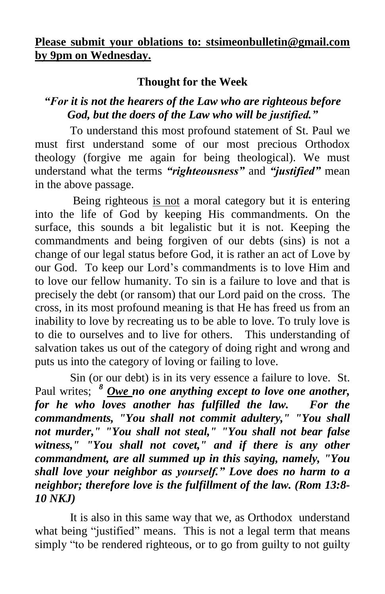#### **Please submit your oblations to: [stsimeonbulletin@gmail.com](mailto:stsimeonbulletin@gmail.com) by 9pm on Wednesday.**

# **Thought for the Week**

# *"For it is not the hearers of the Law who are righteous before God, but the doers of the Law who will be justified."*

To understand this most profound statement of St. Paul we must first understand some of our most precious Orthodox theology (forgive me again for being theological). We must understand what the terms *"righteousness"* and *"justified"* mean in the above passage.

Being righteous is not a moral category but it is entering into the life of God by keeping His commandments. On the surface, this sounds a bit legalistic but it is not. Keeping the commandments and being forgiven of our debts (sins) is not a change of our legal status before God, it is rather an act of Love by our God. To keep our Lord's commandments is to love Him and to love our fellow humanity. To sin is a failure to love and that is precisely the debt (or ransom) that our Lord paid on the cross. The cross, in its most profound meaning is that He has freed us from an inability to love by recreating us to be able to love. To truly love is to die to ourselves and to live for others. This understanding of salvation takes us out of the category of doing right and wrong and puts us into the category of loving or failing to love.

Sin (or our debt) is in its very essence a failure to love. St. Paul writes; *<sup>8</sup> Owe no one anything except to love one another, for he who loves another has fulfilled the law. For the commandments, "You shall not commit adultery," "You shall not murder," "You shall not steal," "You shall not bear false witness," "You shall not covet," and if there is any other commandment, are all summed up in this saying, namely, "You shall love your neighbor as yourself." Love does no harm to a neighbor; therefore love is the fulfillment of the law. (Rom 13:8- 10 NKJ)*

It is also in this same way that we, as Orthodox understand what being "justified" means. This is not a legal term that means simply "to be rendered righteous, or to go from guilty to not guilty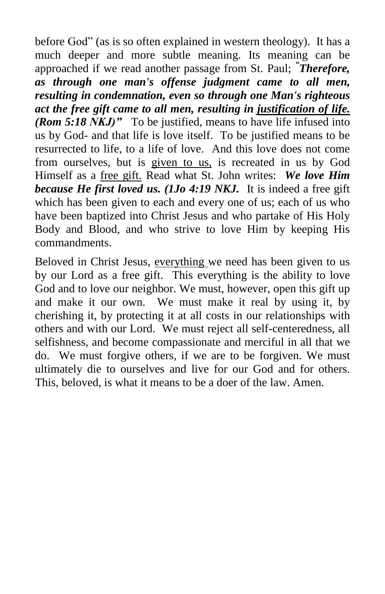before God" (as is so often explained in western theology). It has a much deeper and more subtle meaning. Its meaning can be approached if we read another passage from St. Paul; *" Therefore, as through one man's offense judgment came to all men, resulting in condemnation, even so through one Man's righteous act the free gift came to all men, resulting in justification of life. (Rom 5:18 NKJ)* " To be justified, means to have life infused into us by God- and that life is love itself. To be justified means to be resurrected to life, to a life of love. And this love does not come from ourselves, but is given to us, is recreated in us by God Himself as a free gift. Read what St. John writes: *We love Him because He first loved us. (1Jo 4:19 NKJ.* It is indeed a free gift which has been given to each and every one of us; each of us who have been baptized into Christ Jesus and who partake of His Holy Body and Blood, and who strive to love Him by keeping His commandments.

Beloved in Christ Jesus, everything we need has been given to us by our Lord as a free gift. This everything is the ability to love God and to love our neighbor. We must, however, open this gift up and make it our own. We must make it real by using it, by cherishing it, by protecting it at all costs in our relationships with others and with our Lord. We must reject all self-centeredness, all selfishness, and become compassionate and merciful in all that we do. We must forgive others, if we are to be forgiven. We must ultimately die to ourselves and live for our God and for others. This, beloved, is what it means to be a doer of the law. Amen.